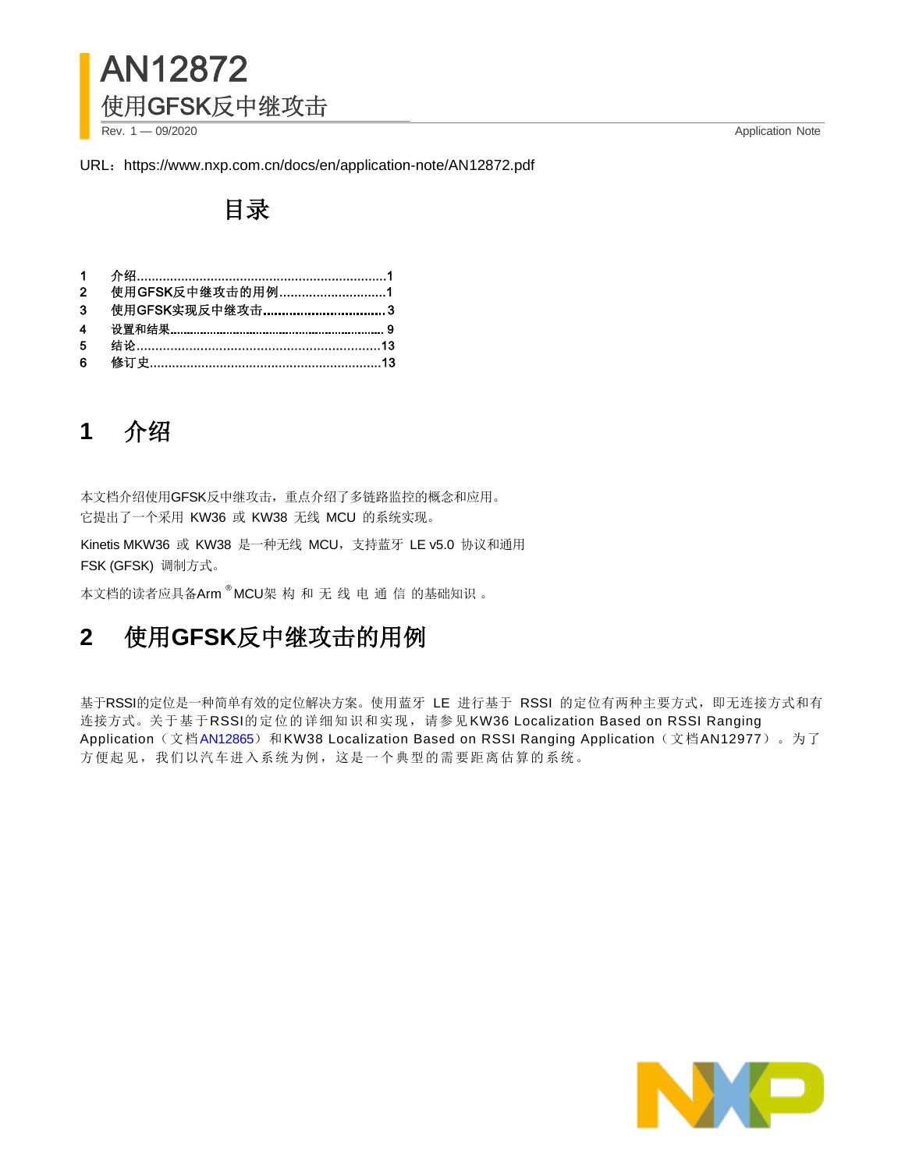

Rev. 1 — 09/2020 Application Note

URL: https://www.nxp.com.cn/docs/en/application-note/AN12872.pdf

## 目录

|                | 1  介绍…………………………………………………………1 |  |
|----------------|------------------------------|--|
|                | 2 使用GFSK反中继攻击的用例1            |  |
|                | 3 使用GFSK实现反中继攻击 3            |  |
|                |                              |  |
| 5 <sup>1</sup> |                              |  |
| 6              |                              |  |
|                |                              |  |

# **1** 介绍

本文档介绍使用GFSK反中继攻击,重点介绍了多链路监控的概念和应用。 它提出了一个采用 KW36 或 KW38 无线 MCU 的系统实现。

Kinetis MKW36 或 KW38 是一种无线 MCU,支持蓝牙 LE v5.0 协议和通用 FSK (GFSK) 调制方式。

本文档的读者应具备Arm®MCU架 构 和 无 线 电 通 信 的基础知识 。

## **2** 使用**GFSK**反中继攻击的用例

基于RSSI的定位是一种简单有效的定位解决方案。使用蓝牙 LE 进行基于 RSSI 的定位有两种主要方式,即无连接方式和有 连接方式。关于基于RSSI的定位的详细知识和实现,请参见KW36 Localization Based on RSSI Ranging Application(文档[AN12865](https://www.nxp.com/docs/en/application-note/AN12865.pdf))和KW38 Localization Based on RSSI Ranging Application(文档AN12977)。为了 方便起见,我们以汽车进入系统为例,这是一个典型的需要距离估算的系统。

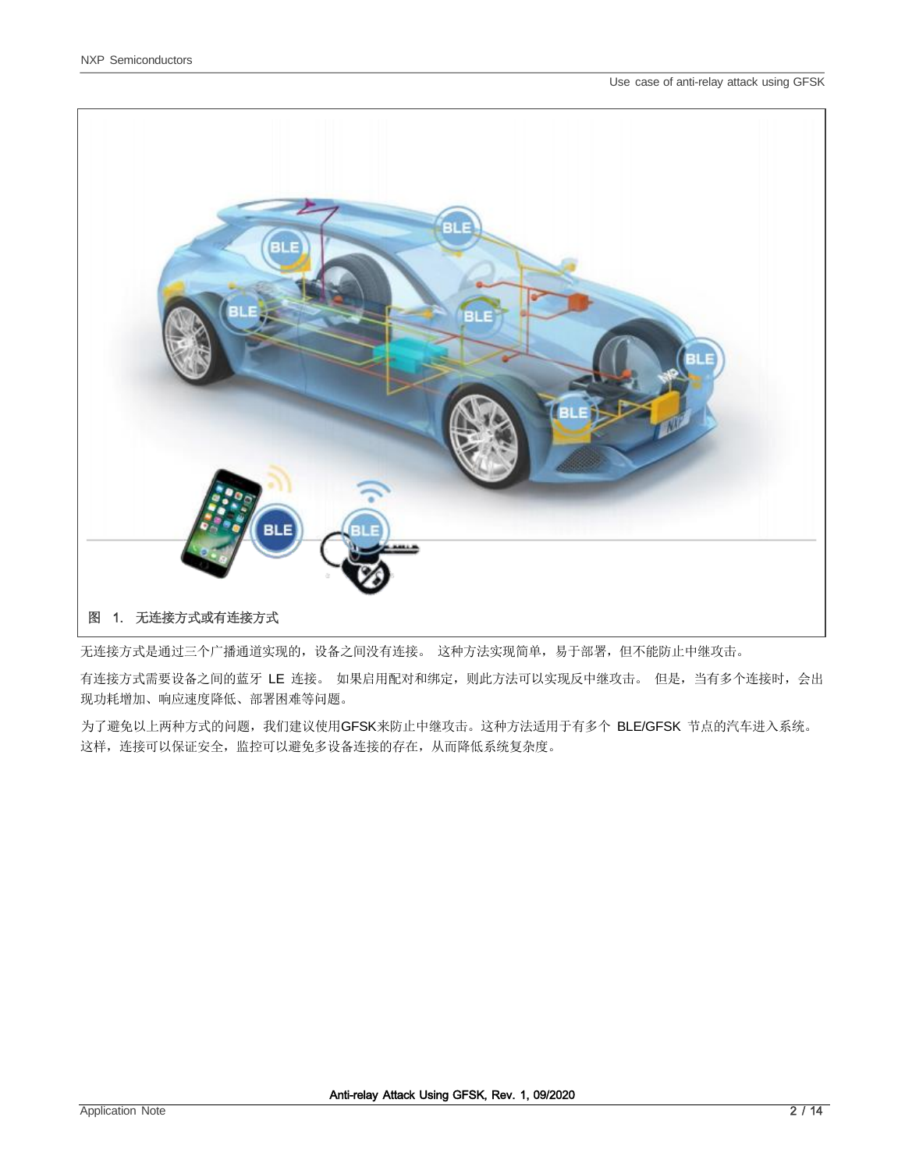

<span id="page-1-0"></span>无连接方式是通过三个广播通道实现的,设备之间没有连接。 这种方法实现简单,易于部署,但不能防止中继攻击。

有连接方式需要设备之间的蓝牙 LE 连接。 如果启用配对和绑定,则此方法可以实现反中继攻击。 但是, 当有多个连接时, 会出 现功耗增加、响应速度降低、部署困难等问题。

为了避免以上两种方式的问题,我们建议使用GFSK来防止中继攻击。这种方法适用于有多个 BLE/GFSK 节点的汽车进入系统。 这样,连接可以保证安全,监控可以避免多设备连接的存在,从而降低系统复杂度。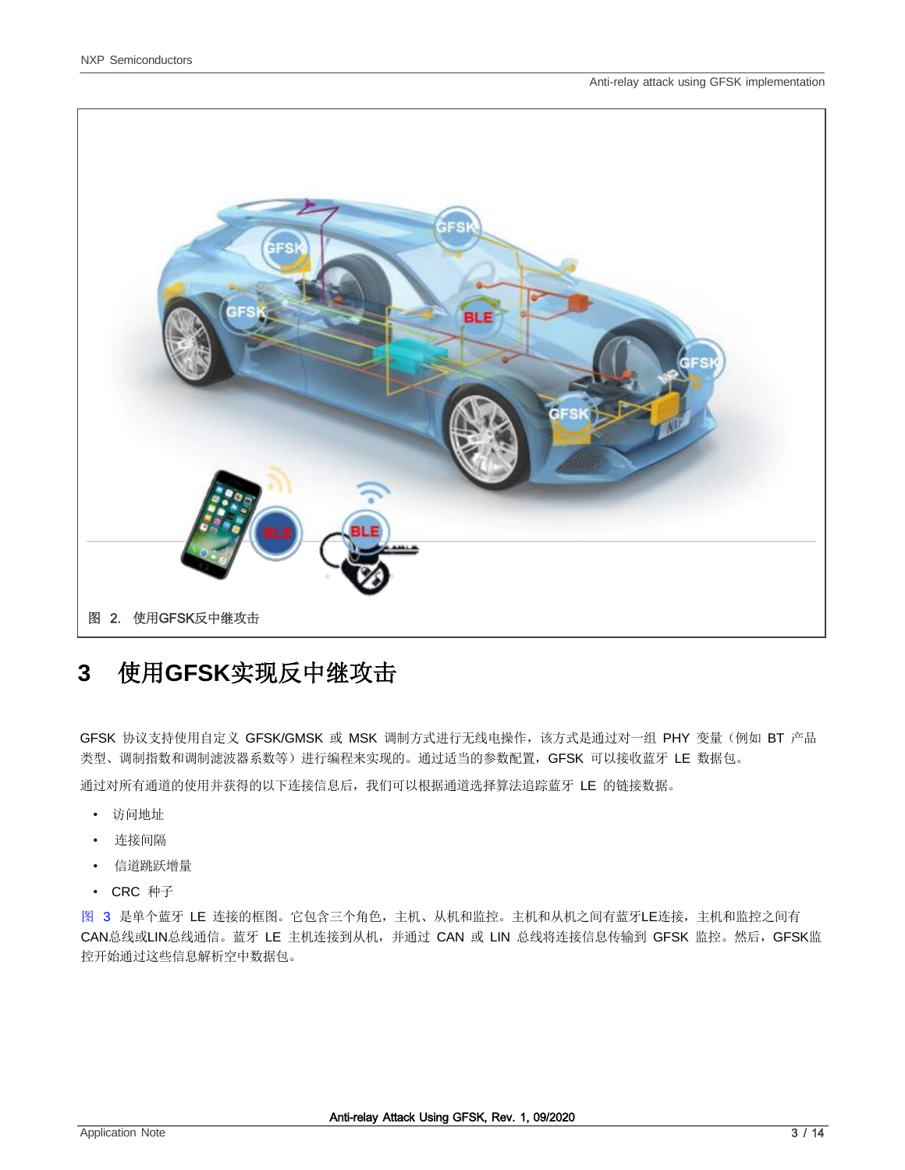

# <span id="page-2-0"></span>**3** 使用**GFSK**实现反中继攻击

GFSK 协议支持使用自定义 GFSK/GMSK 或 MSK 调制方式进行无线电操作,该方式是通过对一组 PHY 变量(例如 BT 产品 类型、调制指数和调制滤波器系数等)进行编程来实现的。通过适当的参数配置,GFSK 可以接收蓝牙 LE 数据包。

通过对所有通道的使用并获得的以下连接信息后,我们可以根据通道选择算法追踪蓝牙 LE 的链接数据。

- 访问地址
- 连接间隔
- 信道跳跃增量
- CRC 种子

[图](#page-3-0) [3](#page-3-0) 是单个蓝牙 LE 连接的框图。它包含三个角色,主机、从机和监控。主机和从机之间有蓝牙LE连接,主机和监控之间有 CAN总线或LIN总线通信。蓝牙 LE 主机连接到从机, 并通过 CAN 或 LIN 总线将连接信息传输到 GFSK 监控。然后, GFSK监 控开始通过这些信息解析空中数据包。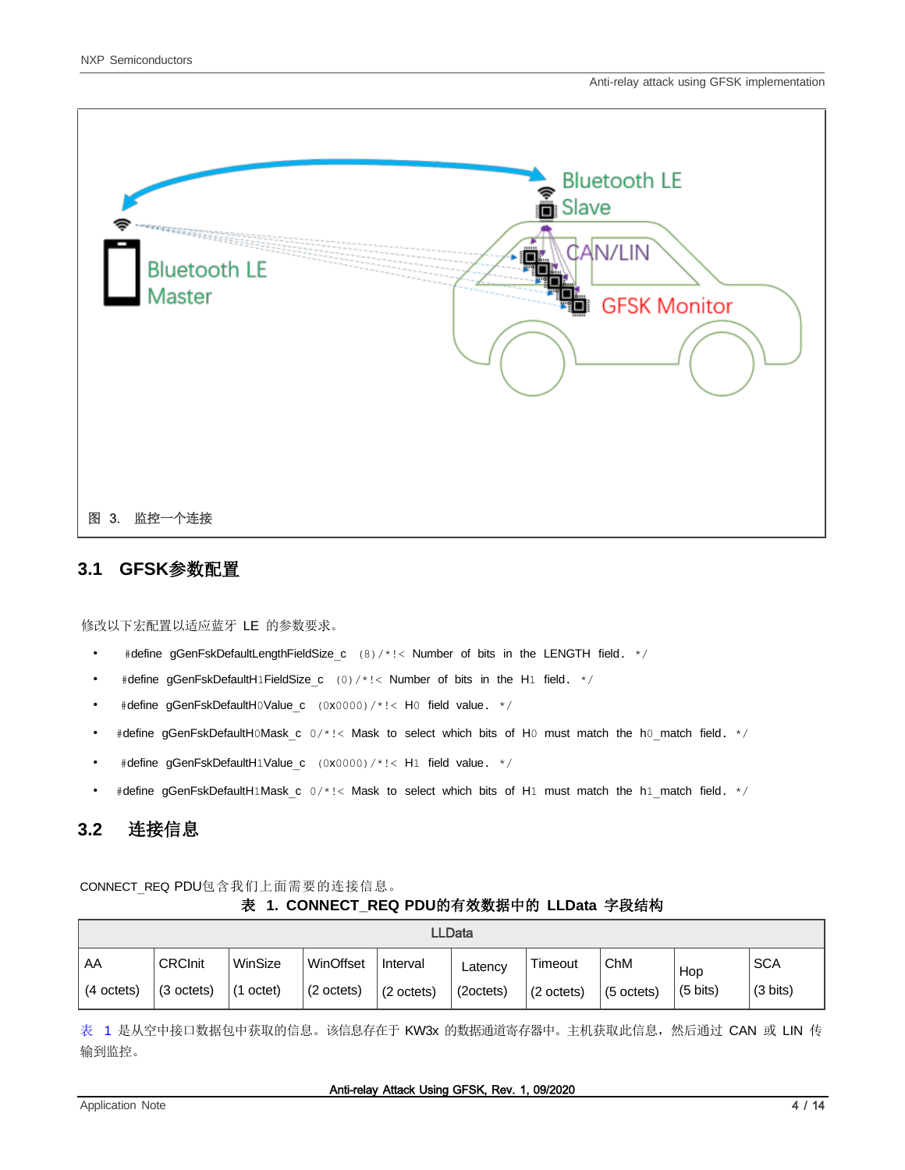

#### <span id="page-3-0"></span>**3.1 GFSK**参数配置

修改以下宏配置以适应蓝牙 LE 的参数要求。

- #define gGenFskDefaultLengthFieldSize c (8)/\*!< Number of bits in the LENGTH field. \*/
- #define gGenFskDefaultH1FieldSize c (0)/\*!< Number of bits in the H1 field.  $*/$
- #define gGenFskDefaultH0Value c (0x0000)/\*!< H0 field value. \*/
- #define gGenFskDefaultH0Mask c  $0/*$ !< Mask to select which bits of H0 must match the h0 match field.  $*/$
- #define gGenFskDefaultH1Value c (0x0000)/\*!< H1 field value. \*/
- #define gGenFskDefaultH1Mask c 0/\*!< Mask to select which bits of H1\_must match the h1\_match field. \*/

#### **3.2** 连接信息

<span id="page-3-1"></span>CONNECT\_REQ PDU包含我们上面需要的连接信息。

#### 表 **1. CONNECT\_REQ PDU**的有效数据中的 **LLData** 字段结构

| <b>LLData</b> |                |           |                      |                      |           |                      |                      |                    |                    |
|---------------|----------------|-----------|----------------------|----------------------|-----------|----------------------|----------------------|--------------------|--------------------|
| AA            | <b>CRCInit</b> | WinSize   | WinOffset            | Interval             | Latency   | Timeout              | ChM                  | Hop                | <b>SCA</b>         |
| (4 octets)    | (3 octets)     | (1 octet) | $(2 \text{ octets})$ | $(2 \text{ octets})$ | (2octets) | $(2 \text{ octets})$ | $(5 \text{ octets})$ | $(5 \text{ bits})$ | $(3 \text{ bits})$ |

[表](#page-3-1) [1](#page-3-1) 是从空中接口数据包中获取的信息。该信息存在于 KW3x 的数据通道寄存器中。主机获取此信息, 然后通过 CAN 或 LIN 传 输到监控。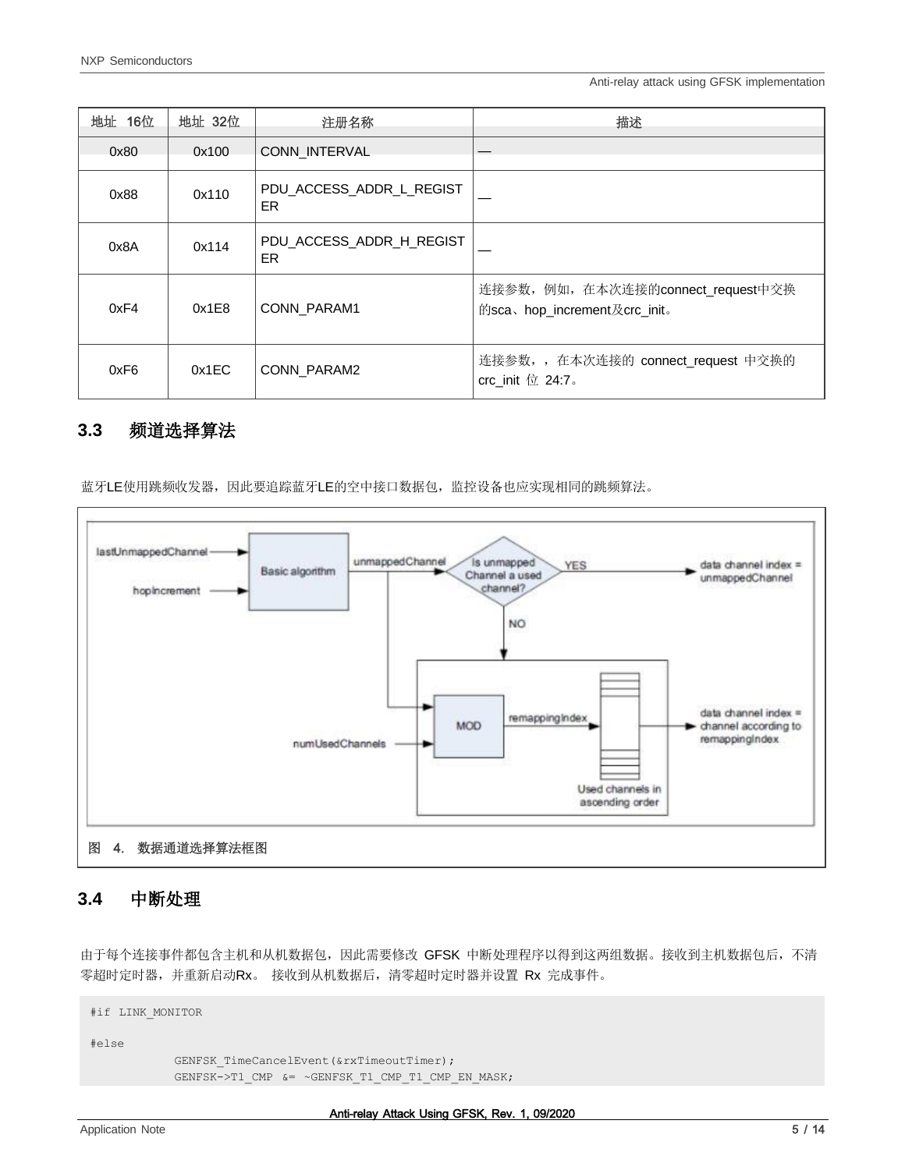Anti-relay attack using GFSK implementation

| 地址 16位 | 地址 32位 | 注册名称                           | 描述                                                                 |
|--------|--------|--------------------------------|--------------------------------------------------------------------|
| 0x80   | 0x100  | <b>CONN INTERVAL</b>           |                                                                    |
| 0x88   | 0x110  | PDU ACCESS ADDR L REGIST<br>ER |                                                                    |
| 0x8A   | 0x114  | PDU_ACCESS_ADDR_H_REGIST<br>ER |                                                                    |
| 0xF4   | 0x1E8  | CONN PARAM1                    | 连接参数, 例如, 在本次连接的connect_request中交换<br>的sca、hop_increment及crc_init。 |
| 0xF6   | 0x1EC  | CONN PARAM2                    | 连接参数,, 在本次连接的 connect_request 中交换的<br>crc_init $@24:7$ .           |

#### **3.3** 频道选择算法

蓝牙LE使用跳频收发器,因此要追踪蓝牙LE的空中接口数据包,监控设备也应实现相同的跳频算法。



#### **3.4** 中断处理

由于每个连接事件都包含主机和从机数据包,因此需要修改 GFSK 中断处理程序以得到这两组数据。接收到主机数据包后,不清 零超时定时器,并重新启动Rx。 接收到从机数据后,清零超时定时器并设置 Rx 完成事件。

```
#if LINK_MONITOR
#else
            GENFSK TimeCancelEvent(&rxTimeoutTimer);
            GENFSK->T1 CMP &= ~GENFSK T1 CMP T1 CMP EN MASK;
```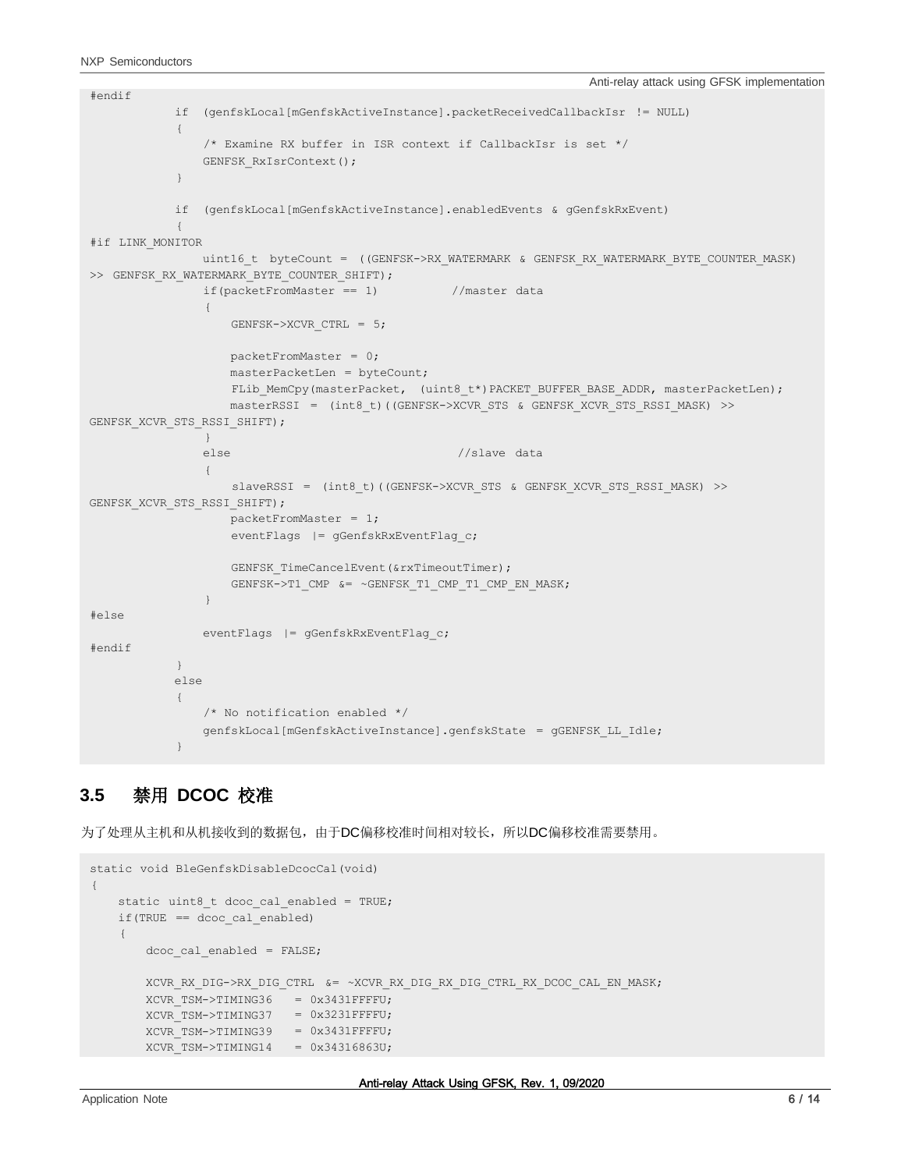```
#endif
           if (genfskLocal[mGenfskActiveInstance].packetReceivedCallbackIsr != NULL)
            {
               /* Examine RX buffer in ISR context if CallbackIsr is set */
               GENFSK_RxIsrContext();
            }
           if (genfskLocal[mGenfskActiveInstance].enabledEvents & gGenfskRxEvent)
            {
#if LINK_MONITOR
               uint16 t byteCount = ((GENFSK->RX_WATERMARK & GENFSK_RX_WATERMARK_BYTE_COUNTER_MASK)
>> GENFSK RX WATERMARK BYTE COUNTER SHIFT);
               if(packetFromMaster == 1) //master data
                {
                   GENFSK->XCVR_CTRL = 5;
                   packetFromMaster = 0;
                   masterPacketLen = byteCount;
                   FLib_MemCpy(masterPacket, (uint8_t*)PACKET_BUFFER_BASE_ADDR, masterPacketLen);
                   masterRSSI = (int8_t)((GENFSK->XCVR_STS & GENFSK_XCVR_STS_RSSI_MASK) >>
GENFSK XCVR STS RSSI SHIFT);
               }
               else //slave data
                {
                   slaveRSSI = (int8 t)((GENFSK->XCVR STS & GENFSK XCVR STS RSSI_MASK) >>
GENFSK XCVR STS RSSI SHIFT);
                  packetFromMaster = 1;
                   eventFlags |= gGenfskRxEventFlag c;
                   GENFSK TimeCancelEvent(&rxTimeoutTimer);
                   GENFSK->T1 CMP &= ~GENFSK T1 CMP T1 CMP EN MASK;
               }
#else
               eventFlags |= gGenfskRxEventFlag c;
#endif
           }
           else
            {
               /* No notification enabled */
               genfskLocal[mGenfskActiveInstance].genfskState = gGENFSK_LL_Idle;
            }
```
#### **3.5** 禁用 **DCOC** 校准

为了处理从主机和从机接收到的数据包,由于DC偏移校准时间相对较长,所以DC偏移校准需要禁用。

```
static void BleGenfskDisableDcocCal(void)
{
   static uint8 t dcoc cal enabled = TRUE;
   if(TRUE == dcoc_cal_enabled)
    {
       dcoc cal enabled = FALSE;
       XCVR_RX_DIG->RX_DIG_CTRL &= ~XCVR_RX_DIG_RX_DIG_CTRL_RX_DCOC_CAL_EN_MASK;
        XCVR_TSM->TIMING36
        XCVR_TSM->TIMING37
        XCVR TSM->TIMING39 = 0x3431FFFFU;
        XCVR_TSM->TIMING14
= 0x34316863U;
                             = 0x3431FFFFU;
                             = 0x3231FFFFU;
```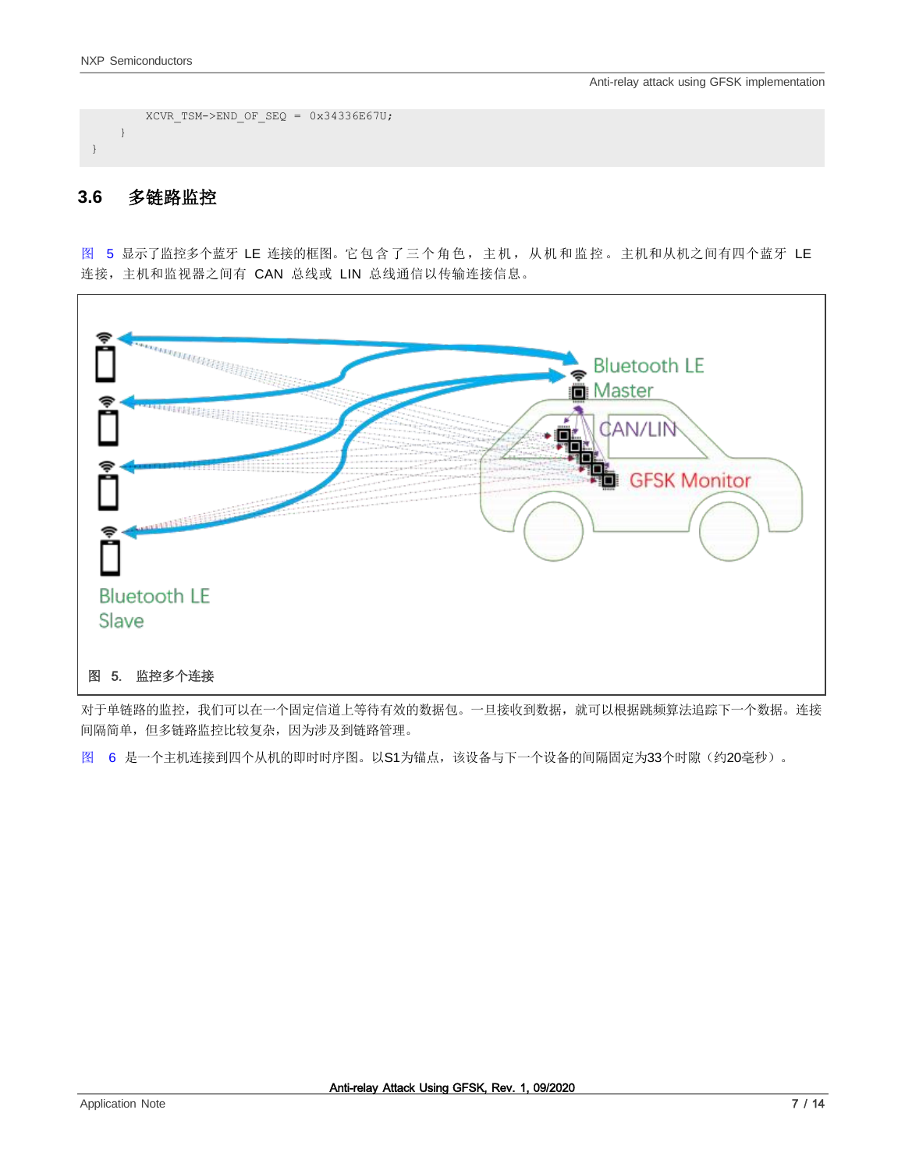```
XCVR_TSM->END_OF_SEQ = 0x34336E67U;}
}
```
#### <span id="page-6-0"></span>**3.6** 多链路监控

[图](#page-6-0) [5](#page-6-0) 显示了监控多个蓝牙 LE 连接的框图。它包含了三个角色,主机,从机和监控。主机和从机之间有四个蓝牙 LE 连接,主机和监视器之间有 CAN 总线或 LIN 总线通信以传输连接信息。



<span id="page-6-1"></span>对于单链路的监控,我们可以在一个固定信道上等待有效的数据包。一旦接收到数据,就可以根据跳频算法追踪下一个数据。连接 间隔简单,但多链路监控比较复杂,因为涉及到链路管理。

[图](#page-7-0) [6](#page-7-0) 是一个主机连接到四个从机的即时时序图。以S1为锚点,该设备与下一个设备的间隔固定为33个时隙(约20毫秒)。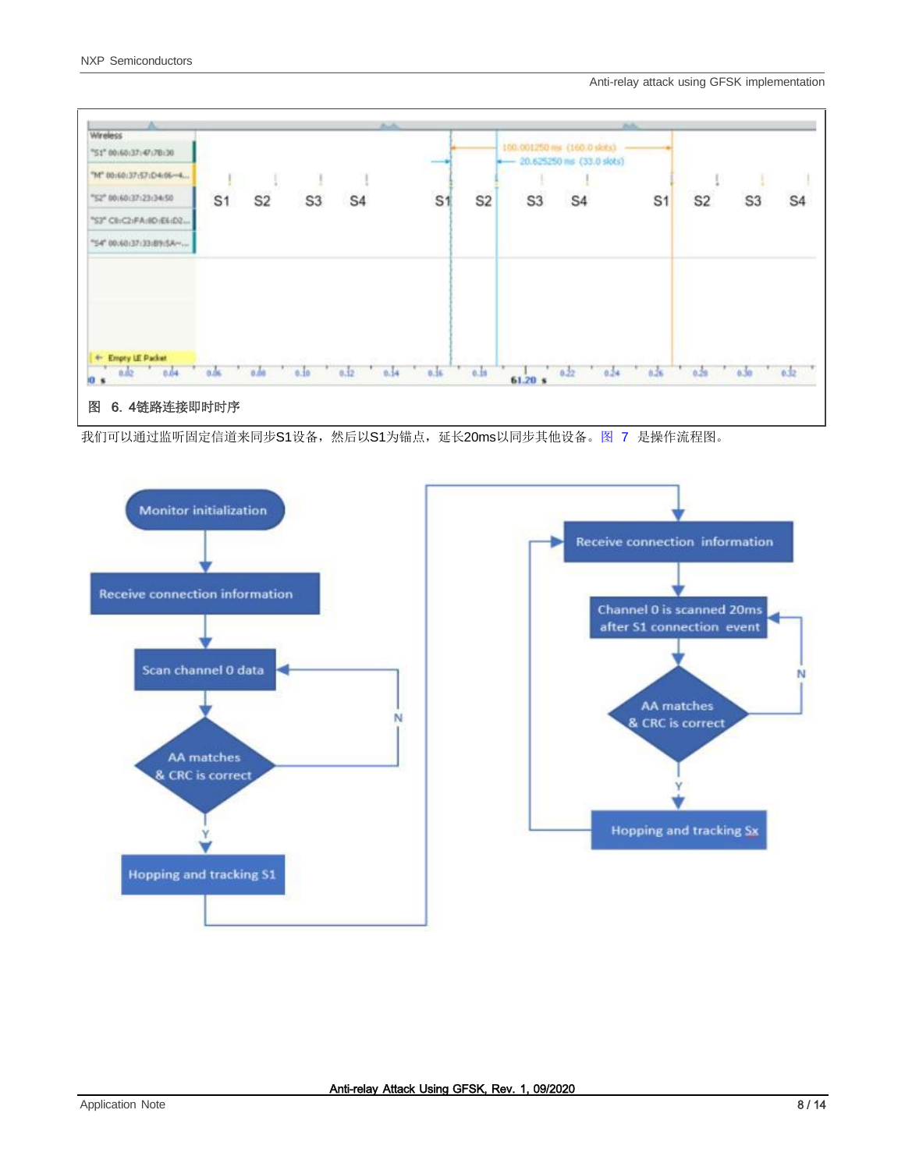

<span id="page-7-0"></span>我们可以通过监听固定信道来同步S1设备,然后以S1为锚点,延长20ms以同步其他设备[。图](#page-7-0) [7](#page-7-0) 是操作流程图。



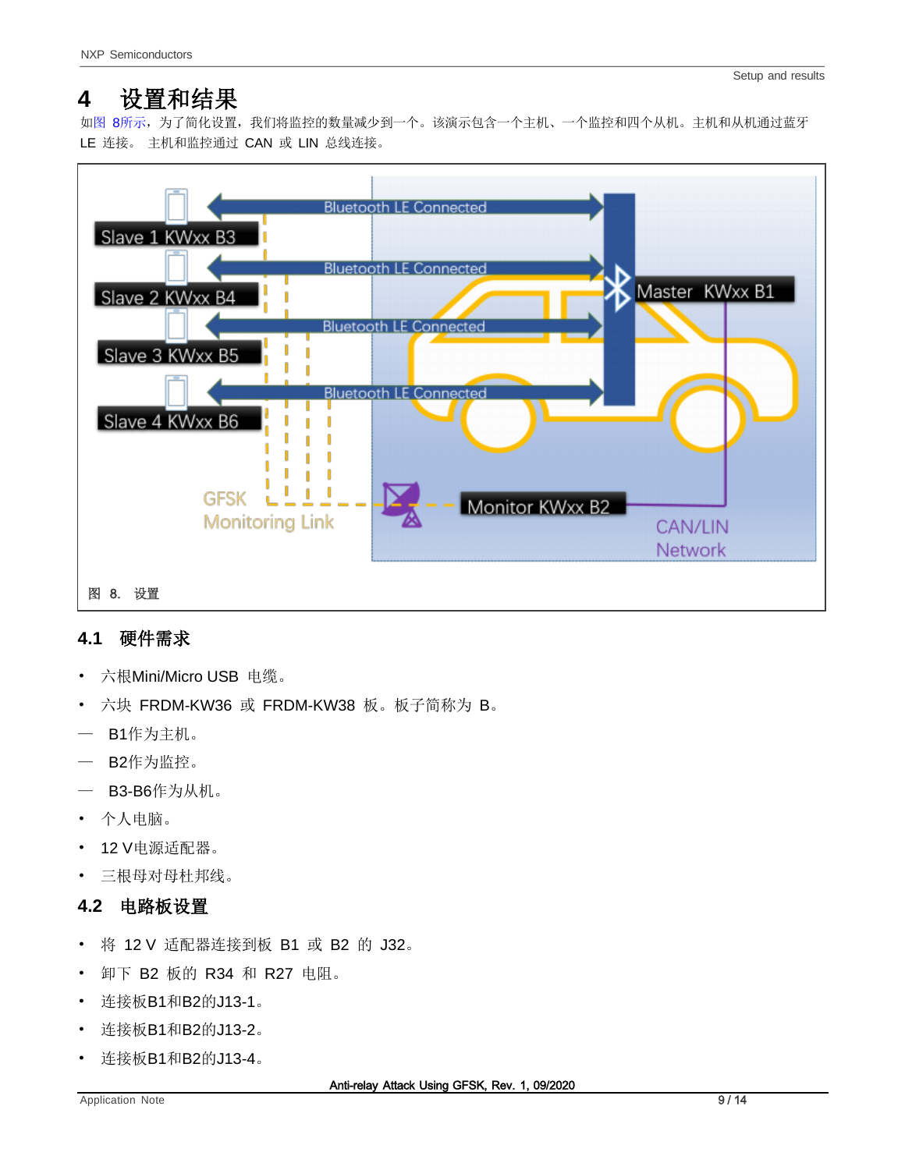## <span id="page-8-0"></span>**4** 设置和结果

[如图](#page-8-0) [8](#page-8-0)所示,为了简化设置,我们将监控的数量减少到一个。该演示包含一个主机、一个监控和四个从机。主机和从机通过蓝牙 LE 连接。 主机和监控通过 CAN 或 LIN 总线连接。



## <span id="page-8-1"></span>**4.1** 硬件需求

- 六根Mini/Micro USB 电缆。
- 六块 FRDM-KW36 或 FRDM-KW38 板。板子简称为 B。
- B1作为主机。
- B2作为监控。
- B3-B6作为从机。
- 个人电脑。
- 12 V电源适配器。
- 三根母对母杜邦线。

## **4.2** 电路板设置

- 将 12 V 适配器连接到板 B1 或 B2 的 J32。
- 卸下 B2 板的 R34 和 R27 电阻。
- 连接板B1和B2的J13-1。
- 连接板B1和B2的J13-2。
- 连接板B1和B2的J13-4。

Anti-relay Attack Using GFSK, Rev. 1, 09/2020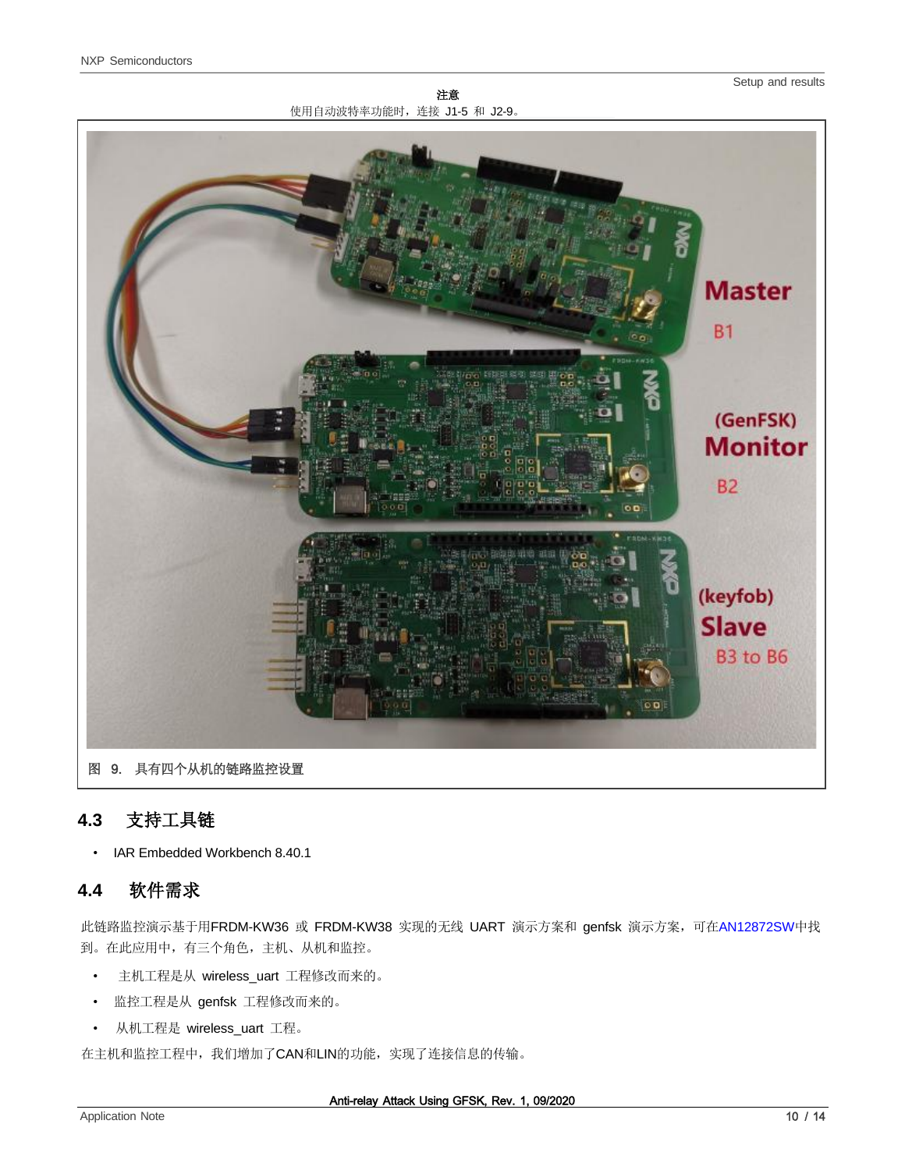Setup and results





## <span id="page-9-0"></span>**4.3** 支持工具链

• IAR Embedded Workbench 8.40.1

## **4.4** 软件需求

此链路监控演示基于用FRDM-KW36 或 FRDM-KW38 实现的无线 UART 演示方案和 genfsk 演示方案, 可在[AN12872SW](https://www.nxp.com/docs/en/application-note-software/AN12872SW.zip)中找 到。在此应用中,有三个角色,主机、从机和监控。

- 主机工程是从 wireless\_uart 工程修改而来的。
- 监控工程是从 genfsk 工程修改而来的。
- 从机工程是 wireless\_uart 工程。

在主机和监控工程中,我们增加了CAN和LIN的功能,实现了连接信息的传输。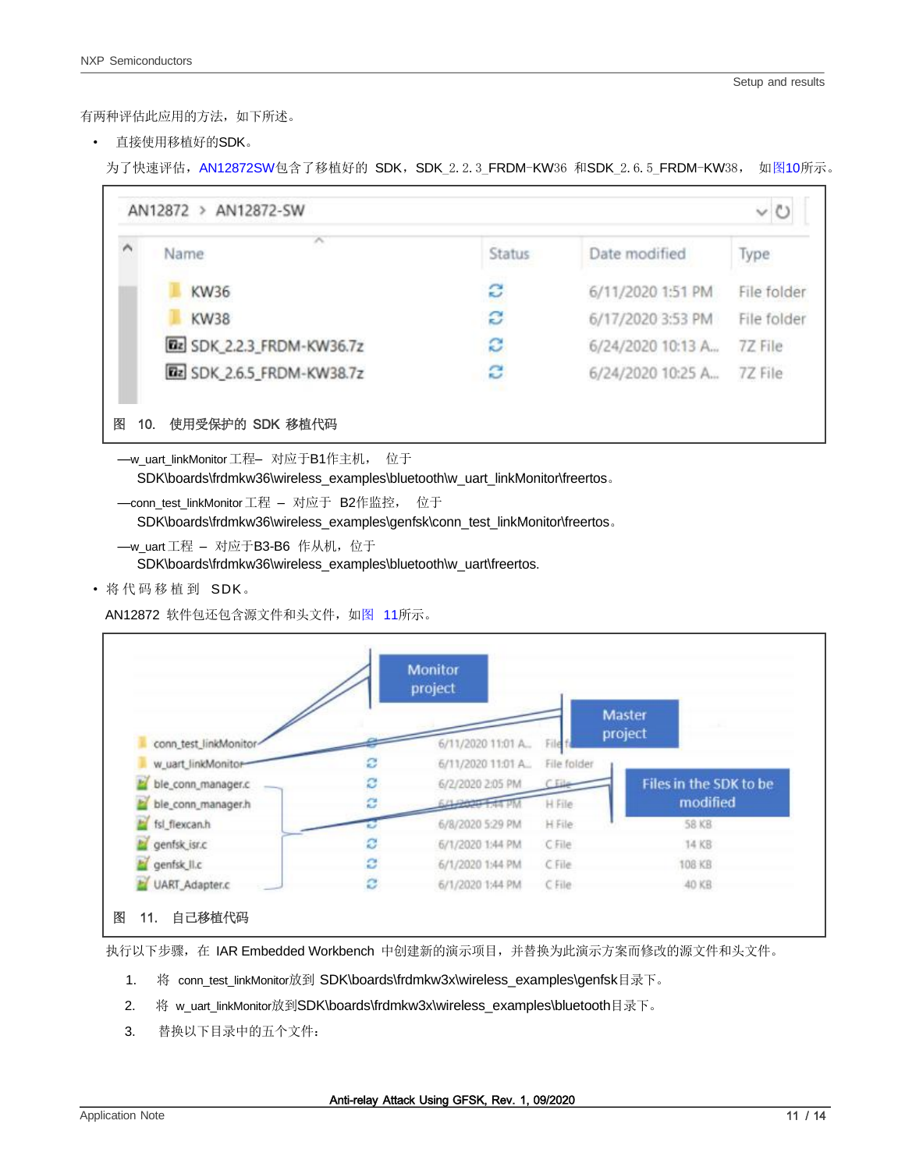有两种评估此应用的方法,如下所述。

• 直接使用移植好的SDK。

为了快速评估,[AN12872SW](https://www.nxp.com/docs/en/application-note-software/AN12872SW.zip)包含了移植好的 SDK,SDK 2.2.3 FRDM-KW36 和SDK 2.6.5 FRDM-KW38, 如图10所示。



SDK\boards\frdmkw36\wireless\_examples\bluetooth\w\_uart\_linkMonitor\freertos。

—conn\_test\_linkMonitor工程 – 对应于 B2作监控, 位于

SDK\boards\frdmkw36\wireless\_examples\genfsk\conn\_test\_linkMonitor\freertos。

```
—w_uart 工程 – 对应于B3-B6 作从机, 位于
```
SDK\boards\frdmkw36\wireless\_examples\bluetooth\w\_uart\freertos.

<span id="page-10-0"></span>• 将 代 码 移 植 到 SDK。

AN12872 软件包还包含源文件和头文件, [如图](#page-10-0) [11](#page-10-0)所示。

|                        |   | <b>Monitor</b><br>project |             |                        |
|------------------------|---|---------------------------|-------------|------------------------|
|                        |   |                           |             | Master                 |
|                        |   |                           |             | project                |
| conn_test_linkMonitor- |   | 6/11/2020 11:01 A.,       |             |                        |
| w_uart_linkMonitor     | е | 6/11/2020 11:01 A.        | File folder |                        |
| ble_conn_manager.c     | ø | 6/2/2020 2:05 PM          | File        | Files in the SDK to be |
| ble_conn_manager.h     | c | 21.0000 1.44 P            | H File      | modified               |
| fsl_flexcan.h          |   | 6/8/2020 5:29 PM          | H File      | 58 KB                  |
| genfsk_isr.c           | ø | 6/1/2020 1:44 PM          | CFile       | 14 KB                  |
| genfsk_II.c            | ø | 6/1/2020 1:44 PM          | C File      | 108 KB                 |
| UART_Adapter.c         | e | 6/1/2020 1:44 PM          | CFile       | 40 KB                  |

执行以下步骤,在 IAR Embedded Workbench 中创建新的演示项目,并替换为此演示方案而修改的源文件和头文件。

- 1. 将 conn test linkMonitor放到 SDK\boards\frdmkw3x\wireless\_examples\genfsk目录下。
- 2. 将 w\_uart\_linkMonitor放到SDK\boards\frdmkw3x\wireless\_examples\bluetooth目录下。
- 3. 替换以下目录中的五个文件: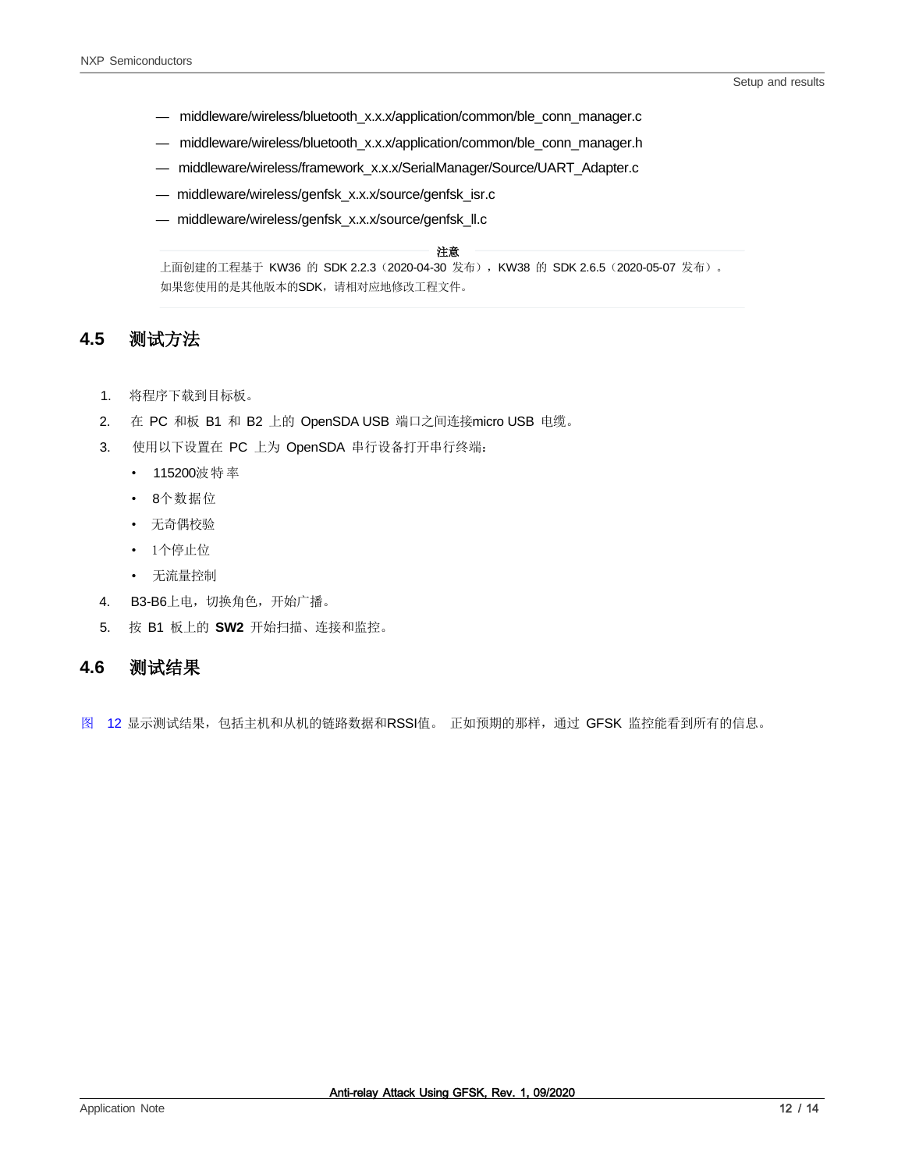- middleware/wireless/bluetooth\_x.x.x/application/common/ble\_conn\_manager.c
- middleware/wireless/bluetooth\_x.x.x/application/common/ble\_conn\_manager.h
- middleware/wireless/framework\_x.x.x/SerialManager/Source/UART\_Adapter.c
- middleware/wireless/genfsk\_x.x.x/source/genfsk\_isr.c
- middleware/wireless/genfsk\_x.x.x/source/genfsk\_ll.c

#### 注意

上面创建的工程基于 KW36 的 SDK 2.2.3(2020-04-30 发布),KW38 的 SDK 2.6.5(2020-05-07 发布)。 如果您使用的是其他版本的SDK,请相对应地修改工程文件。

#### **4.5** 测试方法

- 1. 将程序下载到目标板。
- 2. 在 PC 和板 B1 和 B2 上的 OpenSDA USB 端口之间连接micro USB 电缆。
- 3. 使用以下设置在 PC 上为 OpenSDA 串行设备打开串行终端:
	- 115200波特率
	- 8个数据位
	- 无奇偶校验
	- 1个停止位
	- 无流量控制
- 4. B3-B6上电, 切换角色, 开始广播。
- 5. 按 B1 板上的 **SW2** 开始扫描、连接和监控。

#### **4.6** 测试结果

[图](#page-12-0) [12](#page-12-0) 显示测试结果,包括主机和从机的链路数据和RSSI值。正如预期的那样,通过 GFSK 监控能看到所有的信息。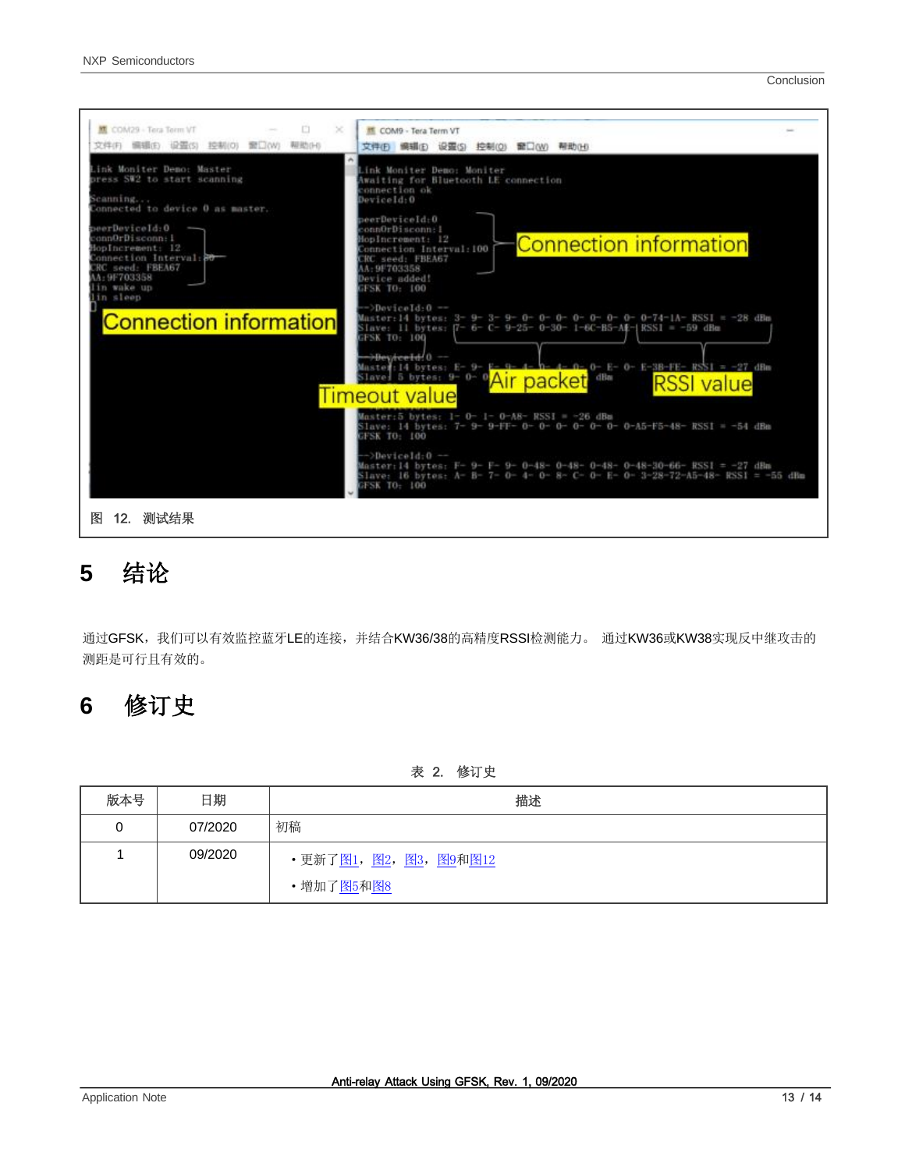Conclusion



## <span id="page-12-0"></span>**5** 结论

通过GFSK,我们可以有效监控蓝牙LE的连接,并结合KW36/38的高精度RSSI检测能力。 通过KW36或KW38实现反中继攻击的 测距是可行且有效的。

# **6** 修订史

表 2. 修订史

| 版本号 | 日期      | 描述                                   |
|-----|---------|--------------------------------------|
| 0   | 07/2020 | 初稿                                   |
|     | 09/2020 | ・更新了 <u>图1</u> , <u>图2,图3,图9和图12</u> |
|     |         | ・增加了 <u>图5</u> 和 <u>图8</u>           |